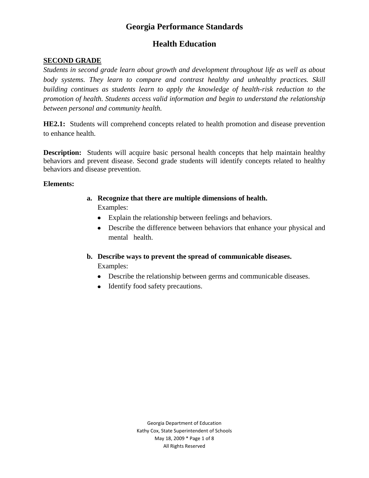# **Health Education**

## **SECOND GRADE**

*Students in second grade learn about growth and development throughout life as well as about body systems. They learn to compare and contrast healthy and unhealthy practices. Skill building continues as students learn to apply the knowledge of health-risk reduction to the promotion of health. Students access valid information and begin to understand the relationship between personal and community health.*

**HE2.1:** Students will comprehend concepts related to health promotion and disease prevention to enhance health.

**Description:** Students will acquire basic personal health concepts that help maintain healthy behaviors and prevent disease. Second grade students will identify concepts related to healthy behaviors and disease prevention.

#### **Elements:**

- **a. Recognize that there are multiple dimensions of health.** Examples:
	- Explain the relationship between feelings and behaviors.
	- Describe the difference between behaviors that enhance your physical and mental health.
- **b. Describe ways to prevent the spread of communicable diseases.**

Examples:

- Describe the relationship between germs and communicable diseases.
- Identify food safety precautions.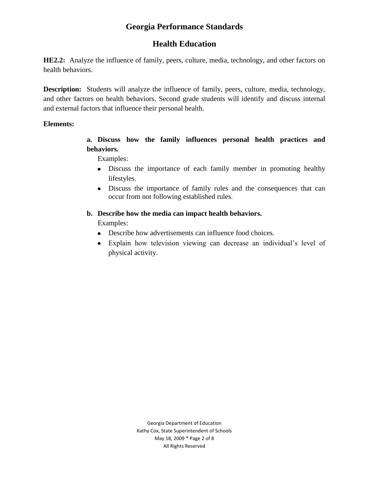## **Health Education**

**HE2.2:** Analyze the influence of family, peers, culture, media, technology, and other factors on health behaviors.

**Description:** Students will analyze the influence of family, peers, culture, media, technology, and other factors on health behaviors. Second grade students will identify and discuss internal and external factors that influence their personal health.

#### **Elements:**

**a. Discuss how the family influences personal health practices and behaviors.**

Examples:

- Discuss the importance of each family member in promoting healthy lifestyles.
- Discuss the importance of family rules and the consequences that can occur from not following established rules.

#### **b. Describe how the media can impact health behaviors.**

Examples:

- Describe how advertisements can influence food choices.
- Explain how television viewing can decrease an individual's level of physical activity.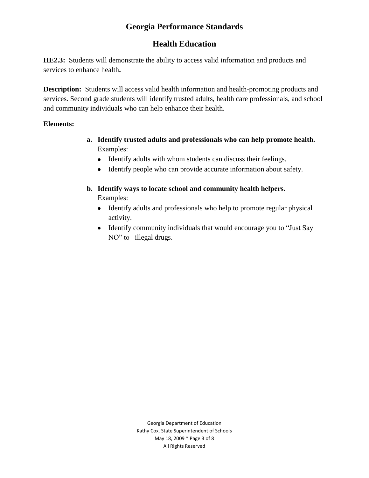# **Health Education**

**HE2.3:** Students will demonstrate the ability to access valid information and products and services to enhance health**.**

**Description:** Students will access valid health information and health-promoting products and services. Second grade students will identify trusted adults, health care professionals, and school and community individuals who can help enhance their health.

#### **Elements:**

- **a. Identify trusted adults and professionals who can help promote health.** Examples:
	- Identify adults with whom students can discuss their feelings.
	- Identify people who can provide accurate information about safety.
- **b. Identify ways to locate school and community health helpers.** Examples:
	- Identify adults and professionals who help to promote regular physical activity.
	- Identify community individuals that would encourage you to "Just Say" NO" to illegal drugs.

Georgia Department of Education Kathy Cox, State Superintendent of Schools May 18, 2009 \* Page 3 of 8 All Rights Reserved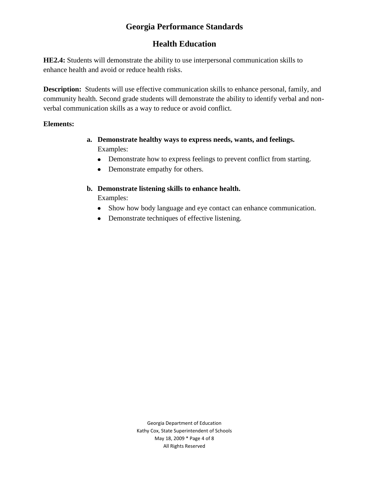# **Health Education**

**HE2.4:** Students will demonstrate the ability to use interpersonal communication skills to enhance health and avoid or reduce health risks.

**Description:** Students will use effective communication skills to enhance personal, family, and community health. Second grade students will demonstrate the ability to identify verbal and nonverbal communication skills as a way to reduce or avoid conflict.

#### **Elements:**

- **a. Demonstrate healthy ways to express needs, wants, and feelings.** Examples:
	- Demonstrate how to express feelings to prevent conflict from starting.
	- Demonstrate empathy for others.

## **b. Demonstrate listening skills to enhance health.**

Examples:

- Show how body language and eye contact can enhance communication.
- Demonstrate techniques of effective listening.

Georgia Department of Education Kathy Cox, State Superintendent of Schools May 18, 2009 \* Page 4 of 8 All Rights Reserved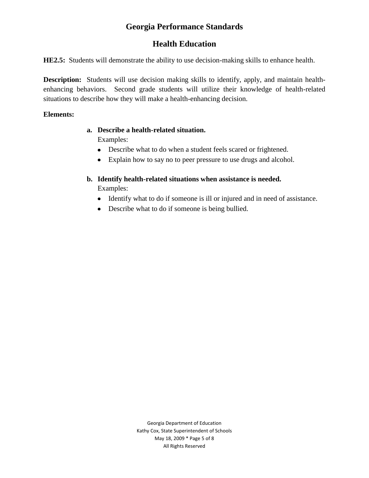# **Health Education**

**HE2.5:** Students will demonstrate the ability to use decision-making skills to enhance health.

**Description:** Students will use decision making skills to identify, apply, and maintain healthenhancing behaviors. Second grade students will utilize their knowledge of health-related situations to describe how they will make a health-enhancing decision.

#### **Elements:**

# **a. Describe a health-related situation.**

Examples:

- Describe what to do when a student feels scared or frightened.
- Explain how to say no to peer pressure to use drugs and alcohol.
- **b. Identify health-related situations when assistance is needed.** Examples:
	- Identify what to do if someone is ill or injured and in need of assistance.
	- Describe what to do if someone is being bullied.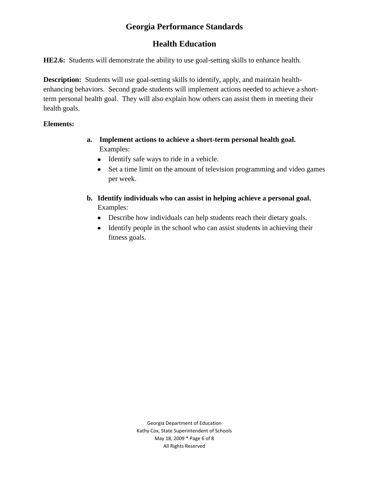# **Health Education**

**HE2.6:** Students will demonstrate the ability to use goal-setting skills to enhance health.

**Description:** Students will use goal-setting skills to identify, apply, and maintain healthenhancing behaviors. Second grade students will implement actions needed to achieve a shortterm personal health goal. They will also explain how others can assist them in meeting their health goals.

## **Elements:**

- **a. Implement actions to achieve a short-term personal health goal.** Examples:
	- Identify safe ways to ride in a vehicle.
	- Set a time limit on the amount of television programming and video games  $\bullet$ per week.
- **b. Identify individuals who can assist in helping achieve a personal goal.** Examples:
	- Describe how individuals can help students reach their dietary goals.
	- Identify people in the school who can assist students in achieving their fitness goals.

Georgia Department of Education Kathy Cox, State Superintendent of Schools May 18, 2009 \* Page 6 of 8 All Rights Reserved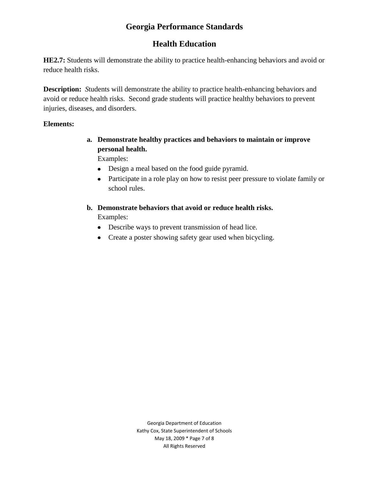# **Health Education**

**HE2.7:** Students will demonstrate the ability to practice health-enhancing behaviors and avoid or reduce health risks.

**Description:** *S*tudents will demonstrate the ability to practice health-enhancing behaviors and avoid or reduce health risks. Second grade students will practice healthy behaviors to prevent injuries, diseases, and disorders.

#### **Elements:**

**a. Demonstrate healthy practices and behaviors to maintain or improve personal health.**

Examples:

- Design a meal based on the food guide pyramid.
- Participate in a role play on how to resist peer pressure to violate family or school rules.
- **b. Demonstrate behaviors that avoid or reduce health risks.** Examples:
	- Describe ways to prevent transmission of head lice.
	- Create a poster showing safety gear used when bicycling.

Georgia Department of Education Kathy Cox, State Superintendent of Schools May 18, 2009 \* Page 7 of 8 All Rights Reserved